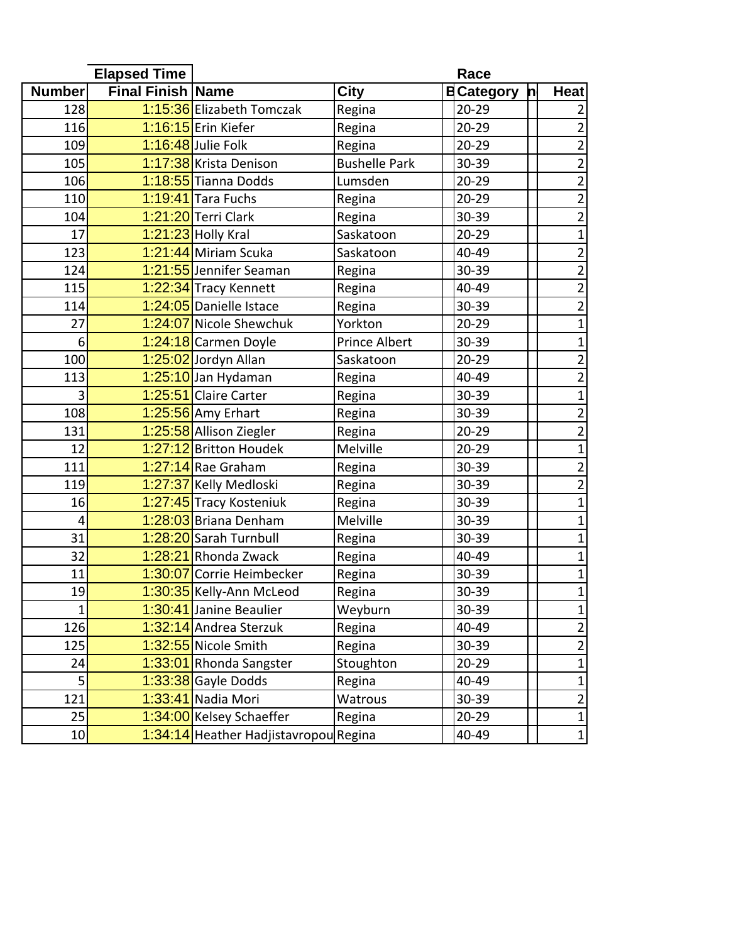| <b>Elapsed Time</b> |                          |                                       | Race                 |  |                   |   |                         |
|---------------------|--------------------------|---------------------------------------|----------------------|--|-------------------|---|-------------------------|
| <b>Number</b>       | <b>Final Finish Name</b> |                                       | <b>City</b>          |  | <b>B</b> Category | h | <b>Heat</b>             |
| 128                 |                          | 1:15:36 Elizabeth Tomczak             | Regina               |  | $20 - 29$         |   | 2                       |
| 116                 |                          | 1:16:15 Erin Kiefer                   | Regina               |  | $20 - 29$         |   | $\overline{2}$          |
| 109                 |                          | 1:16:48 Julie Folk                    | Regina               |  | $20 - 29$         |   | $\overline{2}$          |
| 105                 |                          | 1:17:38 Krista Denison                | <b>Bushelle Park</b> |  | 30-39             |   | $\overline{2}$          |
| 106                 |                          | 1:18:55 Tianna Dodds                  | Lumsden              |  | $20 - 29$         |   | $\overline{2}$          |
| 110                 |                          | 1:19:41 Tara Fuchs                    | Regina               |  | $20 - 29$         |   | $\overline{c}$          |
| 104                 |                          | 1:21:20 Terri Clark                   | Regina               |  | 30-39             |   | $\overline{2}$          |
| 17                  |                          | $1:21:23$ Holly Kral                  | Saskatoon            |  | $20 - 29$         |   | $\overline{1}$          |
| 123                 |                          | 1:21:44 Miriam Scuka                  | Saskatoon            |  | 40-49             |   | 2                       |
| 124                 |                          | 1:21:55 Jennifer Seaman               | Regina               |  | 30-39             |   | $\overline{2}$          |
| 115                 |                          | 1:22:34 Tracy Kennett                 | Regina               |  | 40-49             |   | $\overline{2}$          |
| 114                 |                          | 1:24:05 Danielle Istace               | Regina               |  | 30-39             |   | $\overline{2}$          |
| 27                  |                          | 1:24:07 Nicole Shewchuk               | Yorkton              |  | $20 - 29$         |   | $\mathbf{1}$            |
| 6                   |                          | 1:24:18 Carmen Doyle                  | <b>Prince Albert</b> |  | 30-39             |   | $\mathbf{1}$            |
| 100                 |                          | 1:25:02 Jordyn Allan                  | Saskatoon            |  | $20 - 29$         |   | $\overline{\mathbf{c}}$ |
| 113                 |                          | 1:25:10 Jan Hydaman                   | Regina               |  | 40-49             |   | $\overline{2}$          |
| 3                   |                          | 1:25:51 Claire Carter                 | Regina               |  | 30-39             |   | $\mathbf{1}$            |
| 108                 |                          | 1:25:56 Amy Erhart                    | Regina               |  | 30-39             |   | $\overline{2}$          |
| 131                 |                          | 1:25:58 Allison Ziegler               | Regina               |  | $20 - 29$         |   | $\overline{2}$          |
| 12                  |                          | 1:27:12 Britton Houdek                | Melville             |  | $20 - 29$         |   | $\overline{1}$          |
| 111                 |                          | 1:27:14 Rae Graham                    | Regina               |  | 30-39             |   | $\overline{2}$          |
| 119                 |                          | 1:27:37 Kelly Medloski                | Regina               |  | 30-39             |   | $\overline{2}$          |
| 16                  |                          | 1:27:45 Tracy Kosteniuk               | Regina               |  | 30-39             |   | $\mathbf{1}$            |
| 4                   |                          | 1:28:03 Briana Denham                 | Melville             |  | 30-39             |   | 1                       |
| 31                  |                          | 1:28:20 Sarah Turnbull                | Regina               |  | 30-39             |   | 1                       |
| 32                  |                          | 1:28:21 Rhonda Zwack                  | Regina               |  | 40-49             |   | 1                       |
| 11                  |                          | 1:30:07 Corrie Heimbecker             | Regina               |  | 30-39             |   | 1                       |
| 19                  |                          | 1:30:35 Kelly-Ann McLeod              | Regina               |  | 30-39             |   | $\mathbf{1}$            |
| $\mathbf{1}$        |                          | 1:30:41 Janine Beaulier               | Weyburn              |  | 30-39             |   | 1                       |
| 126                 |                          | 1:32:14 Andrea Sterzuk                | Regina               |  | 40-49             |   | $\overline{2}$          |
| 125                 |                          | 1:32:55 Nicole Smith                  | Regina               |  | 30-39             |   | $\overline{\mathbf{c}}$ |
| 24                  |                          | 1:33:01 Rhonda Sangster               | Stoughton            |  | $20 - 29$         |   | $\mathbf{1}$            |
| 5 <sup>1</sup>      |                          | 1:33:38 Gayle Dodds                   | Regina               |  | 40-49             |   | 1                       |
| 121                 |                          | 1:33:41 Nadia Mori                    | Watrous              |  | 30-39             |   | $\overline{2}$          |
| 25                  |                          | 1:34:00 Kelsey Schaeffer              | Regina               |  | $20 - 29$         |   | $\mathbf{1}$            |
| 10                  |                          | 1:34:14 Heather Hadjistavropou Regina |                      |  | 40-49             |   | $\mathbf 1$             |